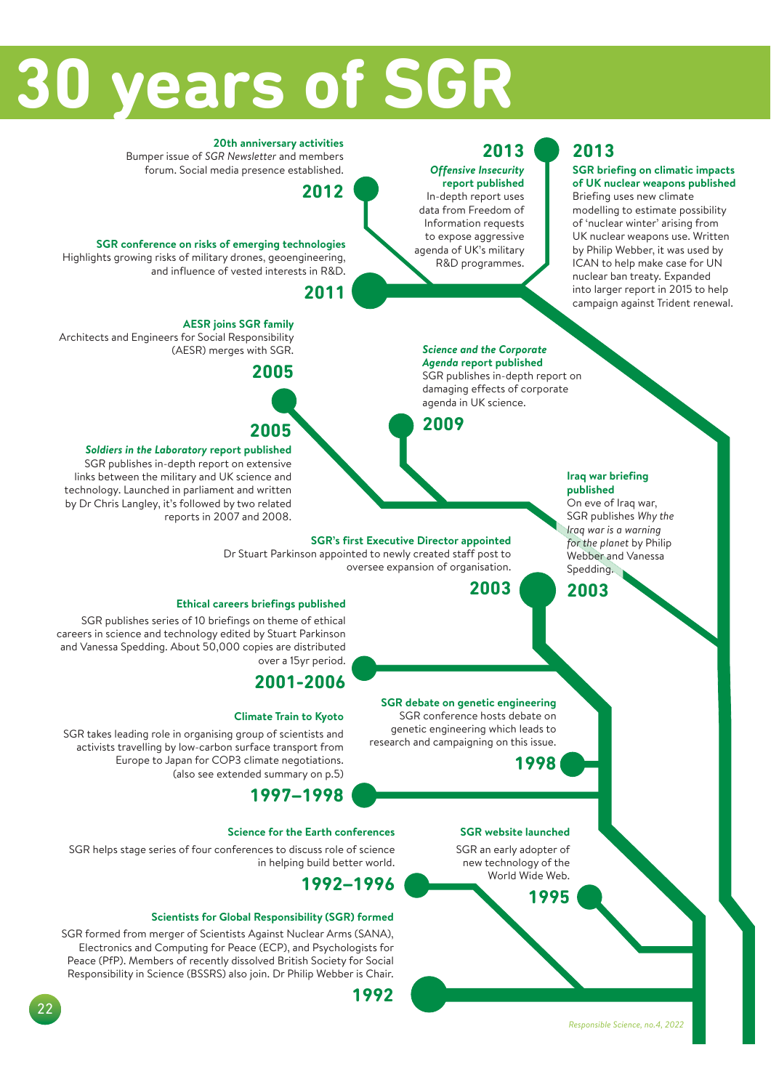# **30 years of SGR**

#### **2013** *Offensive Insecurity*

**report published**  In-depth report uses data from Freedom of Information requests to expose aggressive agenda of UK's military R&D programmes.

## **2013**

#### **SGR briefing on climatic impacts of UK nuclear weapons published**

Briefing uses new climate modelling to estimate possibility of 'nuclear winter' arising from UK nuclear weapons use. Written by Philip Webber, it was used by ICAN to help make case for UN nuclear ban treaty. Expanded into larger report in 2015 to help campaign against Trident renewal.

#### **20th anniversary activities**

Bumper issue of *SGR Newsletter* and members forum. Social media presence established.

## **2012**

#### **SGR conference on risks of emerging technologies**  Highlights growing risks of military drones, geoengineering, and influence of vested interests in R&D.

## **2011**

#### **AESR joins SGR family**

Architects and Engineers for Social Responsibility (AESR) merges with SGR.



## **2005**

#### *Soldiers in the Laboratory* **report published**  SGR publishes in-depth report on extensive

links between the military and UK science and technology. Launched in parliament and written by Dr Chris Langley, it's followed by two related reports in 2007 and 2008.

#### *Science and the Corporate Agenda* **report published**

SGR publishes in-depth report on damaging effects of corporate agenda in UK science.

**2009**

oversee expansion of organisation.

#### **Iraq war briefing published**

.<br>On eve of Iraq war, SGR publishes *Why the for the planet* by Philip Webber and Vanessa Spedding.

**2003**

**SGR website launched** SGR an early adopter of new technology of the World Wide Web.

**1998**

**SGR debate on genetic engineering**  SGR conference hosts debate on genetic engineering which leads to research and campaigning on this issue.

**1995**

#### **Ethical careers briefings published**

SGR publishes series of 10 briefings on theme of ethical careers in science and technology edited by Stuart Parkinson and Vanessa Spedding. About 50,000 copies are distributed over a 15yr period.

## **2001-2006**

#### **Climate Train to Kyoto**

SGR takes leading role in organising group of scientists and activists travelling by low-carbon surface transport from Europe to Japan for COP3 climate negotiations. (also see extended summary on p.5)

## **1997–1998**

#### **Science for the Earth conferences**

SGR helps stage series of four conferences to discuss role of science in helping build better world.

## **1992–1996**

#### **Scientists for Global Responsibility (SGR) formed**

SGR formed from merger of Scientists Against Nuclear Arms (SANA), Electronics and Computing for Peace (ECP), and Psychologists for Peace (PfP). Members of recently dissolved British Society for Social Responsibility in Science (BSSRS) also join. Dr Philip Webber is Chair.

**1992**

## **SGR's first Executive Director appointed**  Dr Stuart Parkinson appointed to newly created staff post to

**2003**